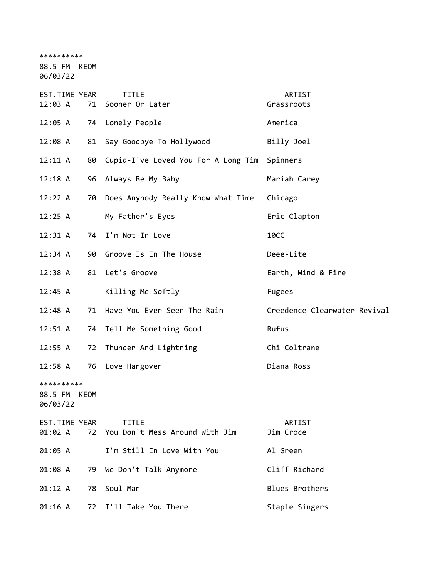\*\*\*\*\*\*\*\*\*\*

88.5 FM KEOM

06/03/22

| EST.TIME YEAR<br>12:03 A               |    | <b>TITLE</b><br>71 Sooner Or Later             | ARTIST<br>Grassroots         |
|----------------------------------------|----|------------------------------------------------|------------------------------|
| 12:05 A                                |    | 74 Lonely People                               | America                      |
| 12:08 A                                |    | 81 Say Goodbye To Hollywood                    | Billy Joel                   |
| 12:11 A                                |    | 80 Cupid-I've Loved You For A Long Tim         | Spinners                     |
| 12:18 A                                | 96 | Always Be My Baby                              | Mariah Carey                 |
| 12:22 A                                |    | 70 Does Anybody Really Know What Time          | Chicago                      |
| 12:25 A                                |    | My Father's Eyes                               | Eric Clapton                 |
| 12:31 A                                |    | 74 I'm Not In Love                             | <b>10CC</b>                  |
| 12:34 A                                |    | 90 Groove Is In The House                      | Deee-Lite                    |
| 12:38 A                                |    | 81 Let's Groove                                | Earth, Wind & Fire           |
| 12:45 A                                |    | Killing Me Softly                              | <b>Fugees</b>                |
| 12:48 A                                |    | 71 Have You Ever Seen The Rain                 | Creedence Clearwater Revival |
| 12:51 A                                | 74 | Tell Me Something Good                         | Rufus                        |
| 12:55 A                                | 72 | Thunder And Lightning                          | Chi Coltrane                 |
| 12:58 A                                |    | 76 Love Hangover                               | Diana Ross                   |
| **********<br>88.5 FM KEOM<br>06/03/22 |    |                                                |                              |
| EST.TIME YEAR<br>01:02 A               | 72 | <b>TITLE</b><br>You Don't Mess Around With Jim | <b>ARTIST</b><br>Jim Croce   |
| 01:05 A                                |    | I'm Still In Love With You                     | Al Green                     |
| 01:08 A                                | 79 | We Don't Talk Anymore                          | Cliff Richard                |
| 01:12 A                                | 78 | Soul Man                                       | <b>Blues Brothers</b>        |
| 01:16 A                                | 72 | I'll Take You There                            | Staple Singers               |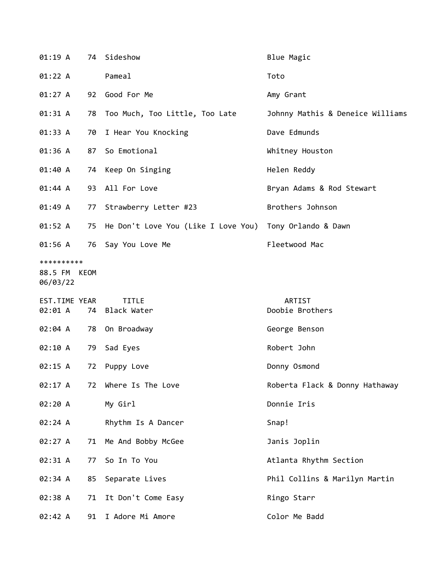| 01:19A                                 |    | 74 Sideshow                            | Blue Magic                       |
|----------------------------------------|----|----------------------------------------|----------------------------------|
| 01:22 A                                |    | Pameal                                 | Toto                             |
| 01:27 A                                |    | 92 Good For Me                         | Amy Grant                        |
| 01:31 A                                |    | 78 Too Much, Too Little, Too Late      | Johnny Mathis & Deneice Williams |
| 01:33 A                                | 70 | I Hear You Knocking                    | Dave Edmunds                     |
| 01:36 A                                | 87 | So Emotional                           | Whitney Houston                  |
| 01:40 A                                |    | 74 Keep On Singing                     | Helen Reddy                      |
| 01:44 A                                |    | 93 All For Love                        | Bryan Adams & Rod Stewart        |
| 01:49 A                                | 77 | Strawberry Letter #23                  | Brothers Johnson                 |
| 01:52 A                                |    | 75 He Don't Love You (Like I Love You) | Tony Orlando & Dawn              |
| 01:56 A                                | 76 | Say You Love Me                        | Fleetwood Mac                    |
| **********<br>88.5 FM KEOM<br>06/03/22 |    |                                        |                                  |
| EST.TIME YEAR<br>02:01 A               | 74 | <b>TITLE</b><br>Black Water            | ARTIST<br>Doobie Brothers        |
| 02:04 A                                |    | 78 On Broadway                         | George Benson                    |
| 02:10 A                                | 79 | Sad Eyes                               | Robert John                      |
| 02:15 A                                | 72 | Puppy Love                             | Donny Osmond                     |
| 02:17 A                                | 72 | Where Is The Love                      | Roberta Flack & Donny Hathaway   |
| 02:20 A                                |    | My Girl                                | Donnie Iris                      |
| 02:24 A                                |    | Rhythm Is A Dancer                     | Snap!                            |
| 02:27 A                                | 71 | Me And Bobby McGee                     | Janis Joplin                     |
| 02:31 A                                | 77 | So In To You                           | Atlanta Rhythm Section           |
| 02:34 A                                | 85 | Separate Lives                         | Phil Collins & Marilyn Martin    |
| 02:38 A                                |    |                                        | Ringo Starr                      |
|                                        | 71 | It Don't Come Easy                     |                                  |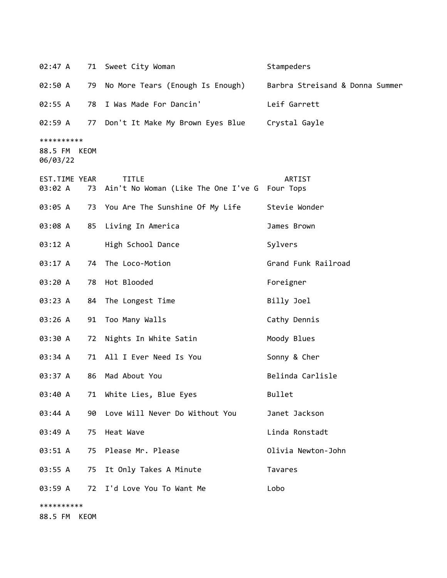| 02:47 A                                |    | 71 Sweet City Woman                                              | Stampeders                      |
|----------------------------------------|----|------------------------------------------------------------------|---------------------------------|
| 02:50 A                                | 79 | No More Tears (Enough Is Enough)                                 | Barbra Streisand & Donna Summer |
| 02:55 A                                | 78 | I Was Made For Dancin'                                           | Leif Garrett                    |
| 02:59 A                                |    | 77 Don't It Make My Brown Eyes Blue Crystal Gayle                |                                 |
| **********<br>88.5 FM KEOM<br>06/03/22 |    |                                                                  |                                 |
| EST.TIME YEAR<br>03:02 A               |    | <b>TITLE</b><br>73 Ain't No Woman (Like The One I've G Four Tops | <b>ARTIST</b>                   |
| 03:05 A                                |    | 73 You Are The Sunshine Of My Life                               | Stevie Wonder                   |
| 03:08 A                                |    | 85 Living In America                                             | James Brown                     |
| 03:12 A                                |    | High School Dance                                                | Sylvers                         |
| 03:17 A                                |    | 74 The Loco-Motion                                               | Grand Funk Railroad             |
| 03:20 A                                |    | 78 Hot Blooded                                                   | Foreigner                       |
| 03:23 A                                | 84 | The Longest Time                                                 | Billy Joel                      |
| 03:26 A                                | 91 | Too Many Walls                                                   | Cathy Dennis                    |
| 03:30 A                                | 72 | Nights In White Satin                                            | Moody Blues                     |
| 03:34 A                                |    | 71 All I Ever Need Is You                                        | Sonny & Cher                    |
| 03:37 A                                | 86 | Mad About You                                                    | Belinda Carlisle                |
| 03:40 A                                |    | 71 White Lies, Blue Eyes                                         | Bullet                          |
| 03:44 A                                | 90 | Love Will Never Do Without You                                   | Janet Jackson                   |
| 03:49 A                                |    | 75 Heat Wave                                                     | Linda Ronstadt                  |
| 03:51 A                                |    | 75 Please Mr. Please                                             | Olivia Newton-John              |
| 03:55 A                                | 75 | It Only Takes A Minute                                           | Tavares                         |
| 03:59 A                                |    | 72 I'd Love You To Want Me                                       | Lobo                            |
| **********<br>88.5 FM KEOM             |    |                                                                  |                                 |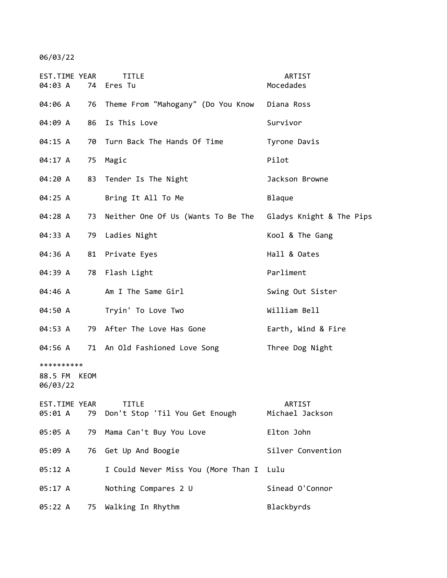06/03/22

| EST.TIME YEAR<br>04:03 A               | 74 | TITLE<br>Eres Tu                                            | ARTIST<br>Mocedades       |
|----------------------------------------|----|-------------------------------------------------------------|---------------------------|
| 04:06 A                                | 76 | Theme From "Mahogany" (Do You Know                          | Diana Ross                |
| 04:09 A                                | 86 | Is This Love                                                | Survivor                  |
| 04:15 A                                | 70 | Turn Back The Hands Of Time                                 | Tyrone Davis              |
| 04:17 A                                | 75 | Magic                                                       | Pilot                     |
| 04:20 A                                | 83 | Tender Is The Night                                         | Jackson Browne            |
| 04:25 A                                |    | Bring It All To Me                                          | Blaque                    |
| 04:28 A                                | 73 | Neither One Of Us (Wants To Be The Gladys Knight & The Pips |                           |
| 04:33 A                                | 79 | Ladies Night                                                | Kool & The Gang           |
| 04:36 A                                | 81 | Private Eyes                                                | Hall & Oates              |
| 04:39 A                                | 78 | Flash Light                                                 | Parliment                 |
| 04:46 A                                |    | Am I The Same Girl                                          | Swing Out Sister          |
| 04:50 A                                |    | Tryin' To Love Two                                          | William Bell              |
| 04:53 A                                | 79 | After The Love Has Gone                                     | Earth, Wind & Fire        |
| 04:56 A                                |    | 71 An Old Fashioned Love Song                               | Three Dog Night           |
| **********<br>88.5 FM KEOM<br>06/03/22 |    |                                                             |                           |
| EST.TIME YEAR<br>05:01 A               | 79 | <b>TITLE</b><br>Don't Stop 'Til You Get Enough              | ARTIST<br>Michael Jackson |
| 05:05 A                                | 79 | Mama Can't Buy You Love                                     | Elton John                |
| 05:09 A                                | 76 | Get Up And Boogie                                           | Silver Convention         |
| 05:12 A                                |    | I Could Never Miss You (More Than I                         | Lulu                      |
| 05:17 A                                |    | Nothing Compares 2 U                                        | Sinead O'Connor           |
| 05:22 A                                | 75 | Walking In Rhythm                                           | Blackbyrds                |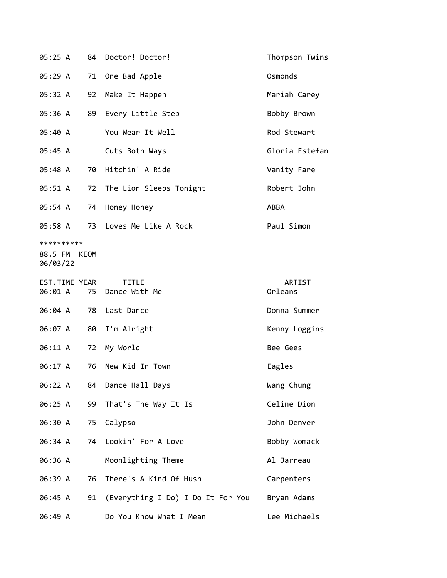| 05:25 A                                |    | 84 Doctor! Doctor!                | Thompson Twins |
|----------------------------------------|----|-----------------------------------|----------------|
| 05:29 A                                | 71 | One Bad Apple                     | Osmonds        |
| 05:32 A                                | 92 | Make It Happen                    | Mariah Carey   |
| 05:36 A                                | 89 | Every Little Step                 | Bobby Brown    |
| 05:40 A                                |    | You Wear It Well                  | Rod Stewart    |
| 05:45 A                                |    | Cuts Both Ways                    | Gloria Estefan |
| 05:48 A                                |    | 70 Hitchin' A Ride                | Vanity Fare    |
| 05:51 A                                |    | 72 The Lion Sleeps Tonight        | Robert John    |
| 05:54 A                                | 74 | Honey Honey                       | ABBA           |
| 05:58 A                                |    | 73 Loves Me Like A Rock           | Paul Simon     |
| **********<br>88.5 FM KEOM<br>06/03/22 |    |                                   |                |
| EST.TIME YEAR                          |    | <b>TITLE</b>                      | ARTIST         |
| 06:01 A                                |    | 75 Dance With Me                  | Orleans        |
| 06:04 A                                |    | 78 Last Dance                     | Donna Summer   |
| 06:07 A                                | 80 | I'm Alright                       | Kenny Loggins  |
| 06:11 A                                | 72 | My World                          | Bee Gees       |
| 06:17 A                                | 76 | New Kid In Town                   | Eagles         |
| 06:22 A                                |    | 84 Dance Hall Days                | Wang Chung     |
| 06:25 A                                | 99 | That's The Way It Is              | Celine Dion    |
| 06:30 A                                | 75 | Calypso                           | John Denver    |
| 06:34 A                                | 74 | Lookin' For A Love                | Bobby Womack   |
| 06:36 A                                |    | Moonlighting Theme                | Al Jarreau     |
| 06:39 A                                | 76 | There's A Kind Of Hush            | Carpenters     |
| 06:45 A                                | 91 | (Everything I Do) I Do It For You | Bryan Adams    |
| 06:49 A                                |    | Do You Know What I Mean           | Lee Michaels   |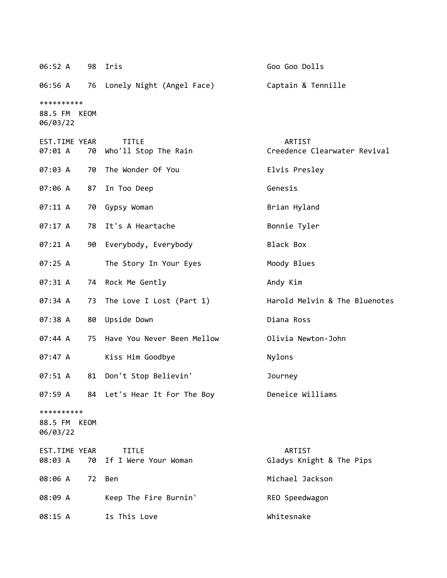| 06:52 A 98 Iris                        |    |                                         | Goo Goo Dolls                          |
|----------------------------------------|----|-----------------------------------------|----------------------------------------|
|                                        |    | 06:56 A 76 Lonely Night (Angel Face)    | Captain & Tennille                     |
| **********<br>88.5 FM KEOM<br>06/03/22 |    |                                         |                                        |
| EST.TIME YEAR<br>07:01 A               | 70 | <b>TITLE</b><br>Who'll Stop The Rain    | ARTIST<br>Creedence Clearwater Revival |
| 07:03 A                                | 70 | The Wonder Of You                       | Elvis Presley                          |
| 07:06 A                                | 87 | In Too Deep                             | Genesis                                |
| 07:11 A                                |    | 70 Gypsy Woman                          | Brian Hyland                           |
| 07:17 A                                |    | 78 It's A Heartache                     | Bonnie Tyler                           |
| 07:21 A                                |    | 90 Everybody, Everybody                 | Black Box                              |
| 07:25A                                 |    | The Story In Your Eyes                  | Moody Blues                            |
| 07:31 A                                |    | 74 Rock Me Gently                       | Andy Kim                               |
| 07:34 A                                |    | 73 The Love I Lost (Part 1)             | Harold Melvin & The Bluenotes          |
| 07:38 A                                |    | 80 Upside Down                          | Diana Ross                             |
| 07:44 A                                |    | 75 Have You Never Been Mellow           | Olivia Newton-John                     |
| 07:47 A                                |    | Kiss Him Goodbye                        | Nylons                                 |
| 07:51 A                                |    | 81 Don't Stop Believin'                 | Journey                                |
|                                        |    | 07:59 A 84 Let's Hear It For The Boy    | Deneice Williams                       |
| **********<br>88.5 FM KEOM<br>06/03/22 |    |                                         |                                        |
| EST.TIME YEAR<br>08:03 A               |    | <b>TITLE</b><br>70 If I Were Your Woman | ARTIST<br>Gladys Knight & The Pips     |
| 08:06 A                                | 72 | Ben                                     | Michael Jackson                        |
| 08:09 A                                |    | Keep The Fire Burnin'                   | REO Speedwagon                         |
| 08:15 A                                |    | Is This Love                            | Whitesnake                             |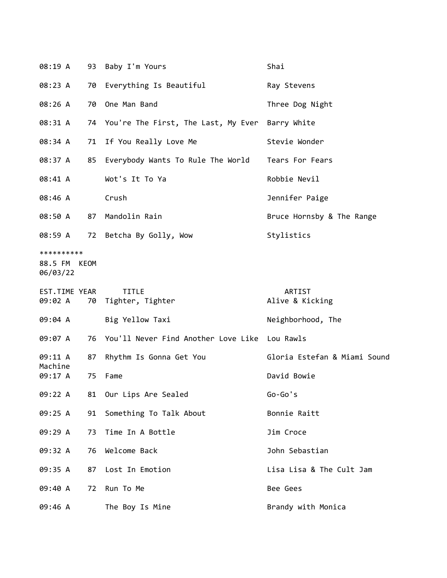| 08:19 A                                |    | 93 Baby I'm Yours                             | Shai                         |
|----------------------------------------|----|-----------------------------------------------|------------------------------|
| 08:23 A                                | 70 | Everything Is Beautiful                       | Ray Stevens                  |
| 08:26 A                                |    | 70 One Man Band                               | Three Dog Night              |
| 08:31 A                                |    | 74 You're The First, The Last, My Ever        | Barry White                  |
| 08:34 A                                |    | 71 If You Really Love Me                      | Stevie Wonder                |
| 08:37 A                                | 85 | Everybody Wants To Rule The World             | Tears For Fears              |
| 08:41 A                                |    | Wot's It To Ya                                | Robbie Nevil                 |
| 08:46 A                                |    | Crush                                         | Jennifer Paige               |
| 08:50 A                                | 87 | Mandolin Rain                                 | Bruce Hornsby & The Range    |
| 08:59 A                                |    | 72 Betcha By Golly, Wow                       | Stylistics                   |
| **********<br>88.5 FM KEOM<br>06/03/22 |    |                                               |                              |
|                                        |    |                                               |                              |
| EST.TIME YEAR<br>09:02 A               | 70 | <b>TITLE</b><br>Tighter, Tighter              | ARTIST<br>Alive & Kicking    |
| 09:04 A                                |    | Big Yellow Taxi                               | Neighborhood, The            |
| 09:07 A                                | 76 | You'll Never Find Another Love Like Lou Rawls |                              |
| 09:11 A                                | 87 | Rhythm Is Gonna Get You                       | Gloria Estefan & Miami Sound |
| Machine<br>09:17 A                     | 75 | Fame                                          | David Bowie                  |
| 09:22 A                                |    | 81 Our Lips Are Sealed                        | $Go-Go's$                    |
| 09:25 A                                | 91 | Something To Talk About                       | Bonnie Raitt                 |
| 09:29 A                                | 73 | Time In A Bottle                              | Jim Croce                    |
| 09:32 A                                | 76 | Welcome Back                                  | John Sebastian               |
| 09:35 A                                | 87 | Lost In Emotion                               | Lisa Lisa & The Cult Jam     |
| 09:40 A                                | 72 | Run To Me                                     | Bee Gees                     |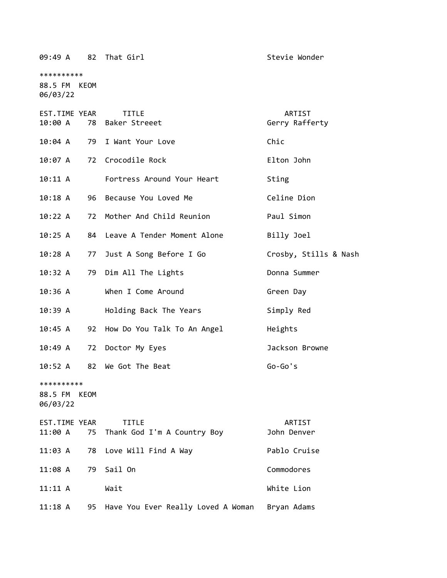\*\*\*\*\*\*\*\*\*\* 88.5 FM KEOM 06/03/22 EST.TIME YEAR TITLE ARTIST 10:00 A 78 Baker Streeet Gerry Rafferty 10:04 A 79 I Want Your Love Chic 10:07 A 72 Crocodile Rock Elton John 10:11 A Fortress Around Your Heart Sting 10:18 A 96 Because You Loved Me Celine Dion 10:22 A 72 Mother And Child Reunion Paul Simon 10:25 A 84 Leave A Tender Moment Alone Billy Joel

10:28 A 77 Just A Song Before I Go Crosby, Stills & Nash

10:32 A 79 Dim All The Lights Donna Summer

10:36 A When I Come Around Green Day

10:39 A Holding Back The Years Simply Red

10:45 A 92 How Do You Talk To An Angel Heights

10:49 A 72 Doctor My Eyes Jackson Browne

10:52 A 82 We Got The Beat Go-Go's

\*\*\*\*\*\*\*\*\*\*

88.5 FM KEOM 06/03/22

| EST.TIME YEAR | <b>TITLE</b>                           | ARTIST       |
|---------------|----------------------------------------|--------------|
|               | 11:00 A 75 Thank God I'm A Country Boy | John Denver  |
|               | 11:03 A 78 Love Will Find A Way        | Pablo Cruise |
| 11:08 A       | 79 Sail On                             | Commodores   |
| 11:11 A       | Wait                                   | White Lion   |
| 11:18 A       | 95 Have You Ever Really Loved A Woman  | Bryan Adams  |

09:49 A 82 That Girl Stevie Wonder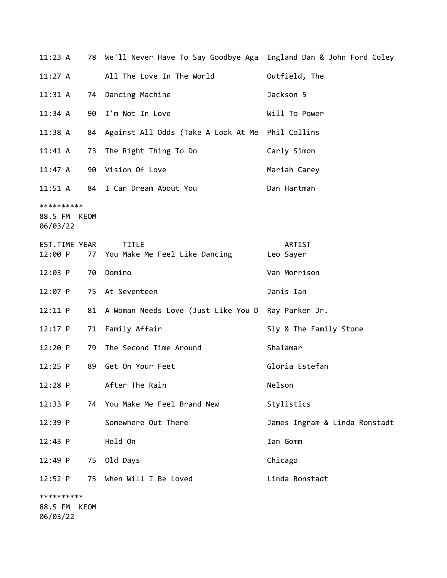| 11:23 A                                |      | 78 We'll Never Have To Say Goodbye Aga England Dan & John Ford Coley |                               |
|----------------------------------------|------|----------------------------------------------------------------------|-------------------------------|
| 11:27 A                                |      | All The Love In The World                                            | Outfield, The                 |
| 11:31 A                                |      | 74 Dancing Machine                                                   | Jackson 5                     |
| 11:34 A                                | 90   | I'm Not In Love                                                      | Will To Power                 |
| 11:38 A                                |      | 84 Against All Odds (Take A Look At Me Phil Collins                  |                               |
| 11:41 A                                |      | 73 The Right Thing To Do                                             | Carly Simon                   |
| 11:47 A                                |      | 90 Vision Of Love                                                    | Mariah Carey                  |
| $11:51 \; A$                           |      | 84 I Can Dream About You                                             | Dan Hartman                   |
| **********<br>88.5 FM KEOM<br>06/03/22 |      |                                                                      |                               |
| EST.TIME YEAR<br>12:00 P               |      | <b>TITLE</b><br>77 You Make Me Feel Like Dancing                     | ARTIST<br>Leo Sayer           |
| 12:03 P                                | 70   | Domino                                                               | Van Morrison                  |
| 12:07 P                                |      | 75 At Seventeen                                                      | Janis Ian                     |
| $12:11$ P                              | 81   | A Woman Needs Love (Just Like You D                                  | Ray Parker Jr.                |
| $12:17$ P                              | 71   | Family Affair                                                        | Sly & The Family Stone        |
| 12:20 P                                | 79   | The Second Time Around                                               | Shalamar                      |
| $12:25$ P                              | 89   | Get On Your Feet                                                     | Gloria Estefan                |
| $12:28$ P                              |      | After The Rain                                                       | Nelson                        |
| 12:33 P                                | 74   | You Make Me Feel Brand New                                           | Stylistics                    |
| 12:39 P                                |      | Somewhere Out There                                                  | James Ingram & Linda Ronstadt |
| 12:43 P                                |      | Hold On                                                              | Ian Gomm                      |
| 12:49 P                                | 75   | Old Days                                                             | Chicago                       |
| 12:52 P                                | 75   | When Will I Be Loved                                                 | Linda Ronstadt                |
| **********                             |      |                                                                      |                               |
| 88.5 FM<br>06/03/22                    | KEOM |                                                                      |                               |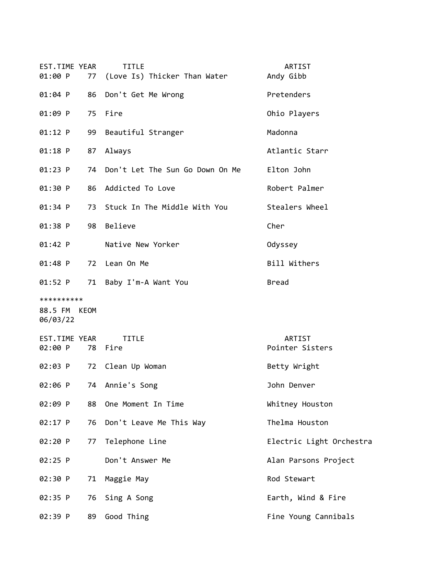| EST.TIME YEAR<br>01:00 P               | <b>TITLE</b><br>(Love Is) Thicker Than Water<br>77 | ARTIST<br>Andy Gibb       |
|----------------------------------------|----------------------------------------------------|---------------------------|
| $01:04$ P<br>86                        | Don't Get Me Wrong                                 | Pretenders                |
| 01:09 P<br>75                          | Fire                                               | Ohio Players              |
| $01:12$ P                              | Beautiful Stranger<br>99                           | Madonna                   |
| 01:18 P<br>87                          | Always                                             | Atlantic Starr            |
| $01:23$ P                              | Don't Let The Sun Go Down On Me<br>74              | Elton John                |
| 01:30 P<br>86                          | Addicted To Love                                   | Robert Palmer             |
| 01:34 P                                | 73 Stuck In The Middle With You                    | Stealers Wheel            |
| 01:38 P<br>98                          | Believe                                            | Cher                      |
| $01:42$ P                              | Native New Yorker                                  | Odyssey                   |
| $01:48$ P<br>72                        | Lean On Me                                         | Bill Withers              |
| 01:52 P                                | 71<br>Baby I'm-A Want You                          | <b>Bread</b>              |
| **********<br>88.5 FM KEOM<br>06/03/22 |                                                    |                           |
| EST.TIME YEAR<br>02:00 P               | <b>TITLE</b><br>78 Fire                            | ARTIST<br>Pointer Sisters |
| 02:03 P<br>72                          | Clean Up Woman                                     | Betty Wright              |
| 02:06 P<br>74                          | Annie's Song                                       | John Denver               |
| 02:09 P<br>88                          | One Moment In Time                                 | Whitney Houston           |
| 02:17 P<br>76                          | Don't Leave Me This Way                            | Thelma Houston            |
| 02:20 P<br>77                          | Telephone Line                                     | Electric Light Orchestra  |
| 02:25 P                                | Don't Answer Me                                    | Alan Parsons Project      |
| 02:30 P<br>71                          | Maggie May                                         | Rod Stewart               |
| 02:35 P<br>76                          |                                                    |                           |
|                                        | Sing A Song                                        | Earth, Wind & Fire        |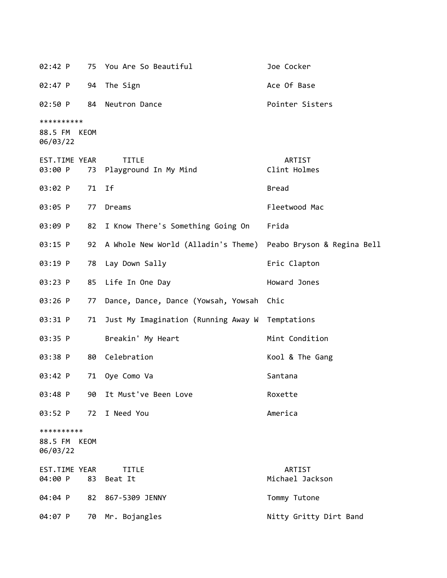| 02:42 P                           |             | 75 You Are So Beautiful                                        | Joe Cocker                |
|-----------------------------------|-------------|----------------------------------------------------------------|---------------------------|
| 02:47 P                           | 94          | The Sign                                                       | Ace Of Base               |
| 02:50 P                           | 84          | Neutron Dance                                                  | Pointer Sisters           |
| **********<br>88.5 FM<br>06/03/22 | <b>KEOM</b> |                                                                |                           |
| EST.TIME YEAR<br>03:00 P          | 73          | <b>TITLE</b><br>Playground In My Mind                          | ARTIST<br>Clint Holmes    |
| 03:02 P                           | 71          | Ιf                                                             | <b>Bread</b>              |
| 03:05 P                           | 77          | Dreams                                                         | Fleetwood Mac             |
| 03:09 P                           | 82          | I Know There's Something Going On                              | Frida                     |
| 03:15 P                           | 92          | A Whole New World (Alladin's Theme) Peabo Bryson & Regina Bell |                           |
| 03:19 P                           | 78          | Lay Down Sally                                                 | Eric Clapton              |
| 03:23 P                           | 85          | Life In One Day                                                | Howard Jones              |
| 03:26 P                           | 77          | Dance, Dance, Dance (Yowsah, Yowsah Chic                       |                           |
| 03:31 P                           | 71          | Just My Imagination (Running Away W Temptations                |                           |
| 03:35 P                           |             | Breakin' My Heart                                              | Mint Condition            |
| 03:38 P                           | 80          | Celebration                                                    | Kool & The Gang           |
| 03:42 P                           | 71          | Oye Como Va                                                    | Santana                   |
| 03:48 P                           | 90          | It Must've Been Love                                           | Roxette                   |
| 03:52 P                           | 72          | I Need You                                                     | America                   |
| **********<br>88.5 FM<br>06/03/22 | KEOM        |                                                                |                           |
| EST.TIME YEAR<br>04:00 P          | 83          | <b>TITLE</b><br>Beat It                                        | ARTIST<br>Michael Jackson |
| 04:04 P                           | 82          | 867-5309 JENNY                                                 | Tommy Tutone              |
| 04:07 P                           |             | 70 Mr. Bojangles                                               | Nitty Gritty Dirt Band    |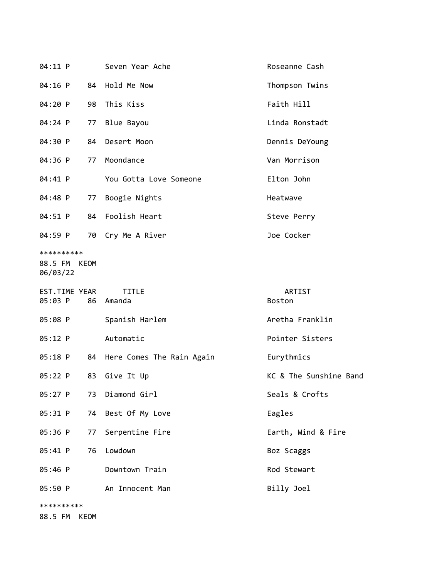| 04:11 P                                |      | Seven Year Ache              | Roseanne Cash           |
|----------------------------------------|------|------------------------------|-------------------------|
| 04:16 P                                |      | 84 Hold Me Now               | Thompson Twins          |
| 04:20 P                                | 98   | This Kiss                    | Faith Hill              |
| 04:24 P                                | 77   | Blue Bayou                   | Linda Ronstadt          |
| 04:30 P                                | 84   | Desert Moon                  | Dennis DeYoung          |
| 04:36 P                                |      | 77 Moondance                 | Van Morrison            |
| 04:41 P                                |      | You Gotta Love Someone       | Elton John              |
| 04:48 P                                | 77   | Boogie Nights                | Heatwave                |
| 04:51 P                                |      | 84 Foolish Heart             | Steve Perry             |
| 04:59 P                                |      | 70 Cry Me A River            | Joe Cocker              |
| **********<br>88.5 FM KEOM<br>06/03/22 |      |                              |                         |
| EST.TIME YEAR<br>05:03 P               |      | <b>TITLE</b><br>86 Amanda    | ARTIST<br><b>Boston</b> |
| 05:08 P                                |      | Spanish Harlem               | Aretha Franklin         |
| 05:12 P                                |      | Automatic                    | Pointer Sisters         |
| 05:18 P                                |      | 84 Here Comes The Rain Again | Eurythmics              |
| 05:22 P                                | 83   | Give It Up                   | KC & The Sunshine Band  |
| 05:27 P                                | 73   | Diamond Girl                 | Seals & Crofts          |
| 05:31 P                                |      | 74 Best Of My Love           | Eagles                  |
| 05:36 P                                | 77   | Serpentine Fire              | Earth, Wind & Fire      |
| 05:41 P                                | 76   | Lowdown                      | Boz Scaggs              |
| 05:46 P                                |      | Downtown Train               | Rod Stewart             |
| 05:50 P                                |      | An Innocent Man              | Billy Joel              |
| **********<br>88.5 FM                  | KEOM |                              |                         |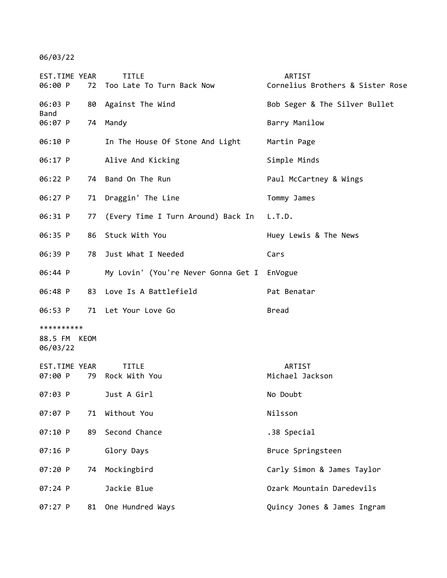06/03/22

| EST.TIME YEAR<br>06:00 P          | 72   | <b>TITLE</b><br>Too Late To Turn Back Now   | ARTIST<br>Cornelius Brothers & Sister Rose |
|-----------------------------------|------|---------------------------------------------|--------------------------------------------|
| 06:03 P                           |      | 80 Against The Wind                         | Bob Seger & The Silver Bullet              |
| Band<br>06:07 P                   |      | 74 Mandy                                    | Barry Manilow                              |
| 06:10 P                           |      | In The House Of Stone And Light             | Martin Page                                |
| 06:17 P                           |      | Alive And Kicking                           | Simple Minds                               |
| 06:22 P                           |      | 74 Band On The Run                          | Paul McCartney & Wings                     |
| 06:27 P                           | 71   | Draggin' The Line                           | Tommy James                                |
| 06:31 P                           | 77   | (Every Time I Turn Around) Back In L.T.D.   |                                            |
| 06:35 P                           | 86   | Stuck With You                              | Huey Lewis & The News                      |
| 06:39 P                           | 78   | Just What I Needed                          | Cars                                       |
| 06:44 P                           |      | My Lovin' (You're Never Gonna Get I EnVogue |                                            |
| 06:48 P                           |      | 83 Love Is A Battlefield                    | Pat Benatar                                |
| 06:53 P                           |      | 71 Let Your Love Go                         | <b>Bread</b>                               |
| **********<br>88.5 FM<br>06/03/22 | KEOM |                                             |                                            |
| EST.TIME YEAR<br>07:00 P          |      | <b>TITLE</b><br>79 Rock With You            | ARTIST<br>Michael Jackson                  |
| $07:03$ P                         |      | Just A Girl                                 | No Doubt                                   |
| $07:07$ P                         | 71   | Without You                                 | Nilsson                                    |
| 07:10 P                           | 89   | Second Chance                               | .38 Special                                |
| $07:16$ P                         |      | Glory Days                                  | Bruce Springsteen                          |
| 07:20 P                           | 74   | Mockingbird                                 | Carly Simon & James Taylor                 |
| 07:24 P                           |      | Jackie Blue                                 | Ozark Mountain Daredevils                  |
| 07:27 P                           | 81   | One Hundred Ways                            | Quincy Jones & James Ingram                |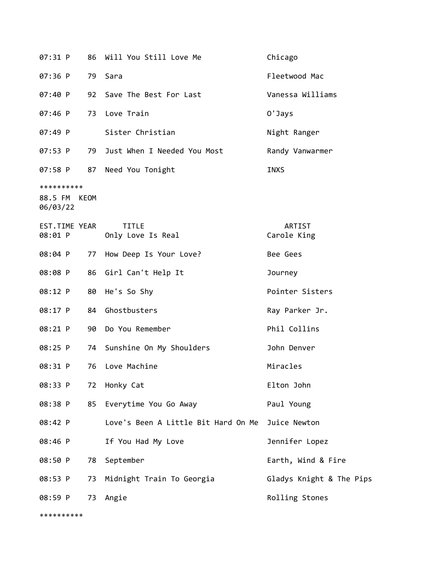| 07:31 P                                | 86 | Will You Still Love Me              | Chicago                  |
|----------------------------------------|----|-------------------------------------|--------------------------|
| 07:36 P                                |    | 79 Sara                             | Fleetwood Mac            |
| 07:40 P                                |    | 92 Save The Best For Last           | Vanessa Williams         |
| $07:46$ P                              | 73 | Love Train                          | 0'Jays                   |
| 07:49 P                                |    | Sister Christian                    | Night Ranger             |
| 07:53 P                                |    | 79 Just When I Needed You Most      | Randy Vanwarmer          |
| 07:58 P                                |    | 87 Need You Tonight                 | <b>INXS</b>              |
| **********<br>88.5 FM KEOM<br>06/03/22 |    |                                     |                          |
| EST.TIME YEAR<br>08:01 P               |    | <b>TITLE</b><br>Only Love Is Real   | ARTIST<br>Carole King    |
| 08:04 P                                | 77 | How Deep Is Your Love?              | Bee Gees                 |
| 08:08 P                                |    | 86 Girl Can't Help It               | Journey                  |
| 08:12 P                                | 80 | He's So Shy                         | Pointer Sisters          |
| 08:17 P                                |    | 84 Ghostbusters                     | Ray Parker Jr.           |
| 08:21 P                                |    | 90 Do You Remember                  | Phil Collins             |
| 08:25 P                                |    | 74 Sunshine On My Shoulders         | John Denver              |
| 08:31 P                                | 76 | Love Machine                        | Miracles                 |
| 08:33 P                                | 72 | Honky Cat                           | Elton John               |
| 08:38 P                                | 85 | Everytime You Go Away               | Paul Young               |
| 08:42 P                                |    | Love's Been A Little Bit Hard On Me | Juice Newton             |
| 08:46 P                                |    | If You Had My Love                  | Jennifer Lopez           |
| 08:50 P                                | 78 | September                           | Earth, Wind & Fire       |
| 08:53 P                                | 73 | Midnight Train To Georgia           | Gladys Knight & The Pips |
| 08:59 P                                | 73 | Angie                               | Rolling Stones           |
| **********                             |    |                                     |                          |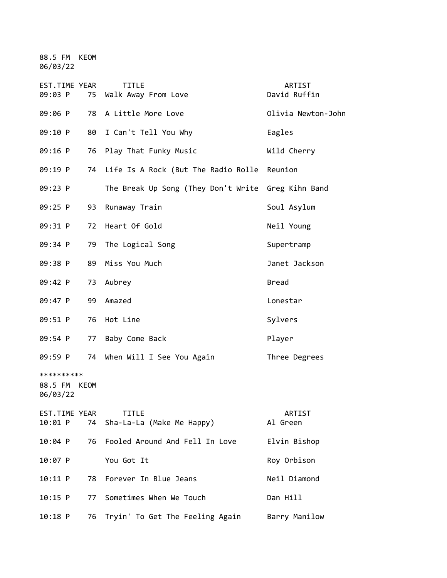88.5 FM KEOM 06/03/22

| EST.TIME YEAR<br>09:03 P               | 75 | <b>TITLE</b><br>Walk Away From Love                | ARTIST<br>David Ruffin |
|----------------------------------------|----|----------------------------------------------------|------------------------|
| 09:06 P                                | 78 | A Little More Love                                 | Olivia Newton-John     |
| 09:10 P                                | 80 | I Can't Tell You Why                               | Eagles                 |
| 09:16 P                                | 76 | Play That Funky Music                              | Wild Cherry            |
| 09:19 P                                |    | 74 Life Is A Rock (But The Radio Rolle             | Reunion                |
| 09:23 P                                |    | The Break Up Song (They Don't Write Greg Kihn Band |                        |
| 09:25 P                                | 93 | Runaway Train                                      | Soul Asylum            |
| 09:31 P                                | 72 | Heart Of Gold                                      | Neil Young             |
| 09:34 P                                | 79 | The Logical Song                                   | Supertramp             |
| 09:38 P                                | 89 | Miss You Much                                      | Janet Jackson          |
| 09:42 P                                | 73 | Aubrey                                             | <b>Bread</b>           |
| 09:47 P                                | 99 | Amazed                                             | Lonestar               |
| 09:51 P                                | 76 | Hot Line                                           | Sylvers                |
| 09:54 P                                | 77 | Baby Come Back                                     | Player                 |
| 09:59 P                                |    | 74 When Will I See You Again                       | Three Degrees          |
| **********<br>88.5 FM KEOM<br>06/03/22 |    |                                                    |                        |
| EST.TIME YEAR<br>10:01 P               | 74 | <b>TITLE</b><br>Sha-La-La (Make Me Happy)          | ARTIST<br>Al Green     |
| 10:04 P                                | 76 | Fooled Around And Fell In Love                     | Elvin Bishop           |
| 10:07 P                                |    | You Got It                                         | Roy Orbison            |
| 10:11 P                                | 78 | Forever In Blue Jeans                              | Neil Diamond           |
| $10:15$ P                              | 77 | Sometimes When We Touch                            | Dan Hill               |
| $10:18$ P                              | 76 | Tryin' To Get The Feeling Again                    | Barry Manilow          |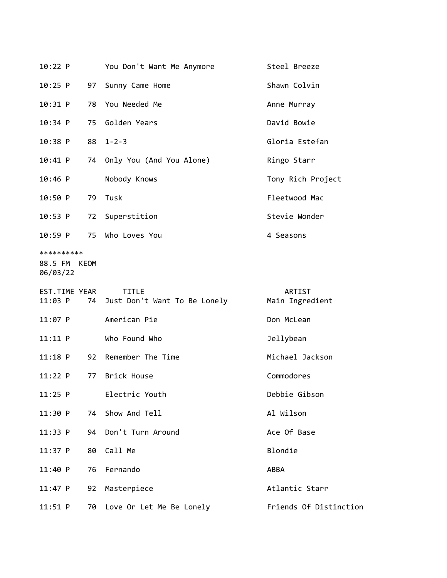| 10:22 P                                |    | You Don't Want Me Anymore                       | Steel Breeze              |
|----------------------------------------|----|-------------------------------------------------|---------------------------|
| $10:25$ P                              | 97 | Sunny Came Home                                 | Shawn Colvin              |
| 10:31 P                                | 78 | You Needed Me                                   | Anne Murray               |
| 10:34 P                                | 75 | Golden Years                                    | David Bowie               |
| 10:38 P                                | 88 | $1 - 2 - 3$                                     | Gloria Estefan            |
| 10:41 P                                |    | 74 Only You (And You Alone)                     | Ringo Starr               |
| $10:46$ P                              |    | Nobody Knows                                    | Tony Rich Project         |
| 10:50 P                                | 79 | Tusk                                            | Fleetwood Mac             |
| 10:53 P                                | 72 | Superstition                                    | Stevie Wonder             |
| 10:59 P                                | 75 | Who Loves You                                   | 4 Seasons                 |
| **********<br>88.5 FM KEOM<br>06/03/22 |    |                                                 |                           |
| EST.TIME YEAR<br>11:03 P               |    | <b>TITLE</b><br>74 Just Don't Want To Be Lonely | ARTIST<br>Main Ingredient |
| $11:07$ P                              |    | American Pie                                    | Don McLean                |
| $11:11$ P                              |    | Who Found Who                                   | Jellybean                 |
| $11:18$ P                              |    |                                                 |                           |
|                                        | 92 | Remember The Time                               | Michael Jackson           |
| 11:22 P                                | 77 | Brick House                                     | Commodores                |
| $11:25$ P                              |    | Electric Youth                                  | Debbie Gibson             |
| 11:30 P                                | 74 | Show And Tell                                   | Al Wilson                 |
| 11:33 P                                | 94 | Don't Turn Around                               | Ace Of Base               |
| 11:37 P                                | 80 | Call Me                                         | Blondie                   |
| 11:40 P                                | 76 | Fernando                                        | ABBA                      |
| 11:47 P                                | 92 | Masterpiece                                     | Atlantic Starr            |